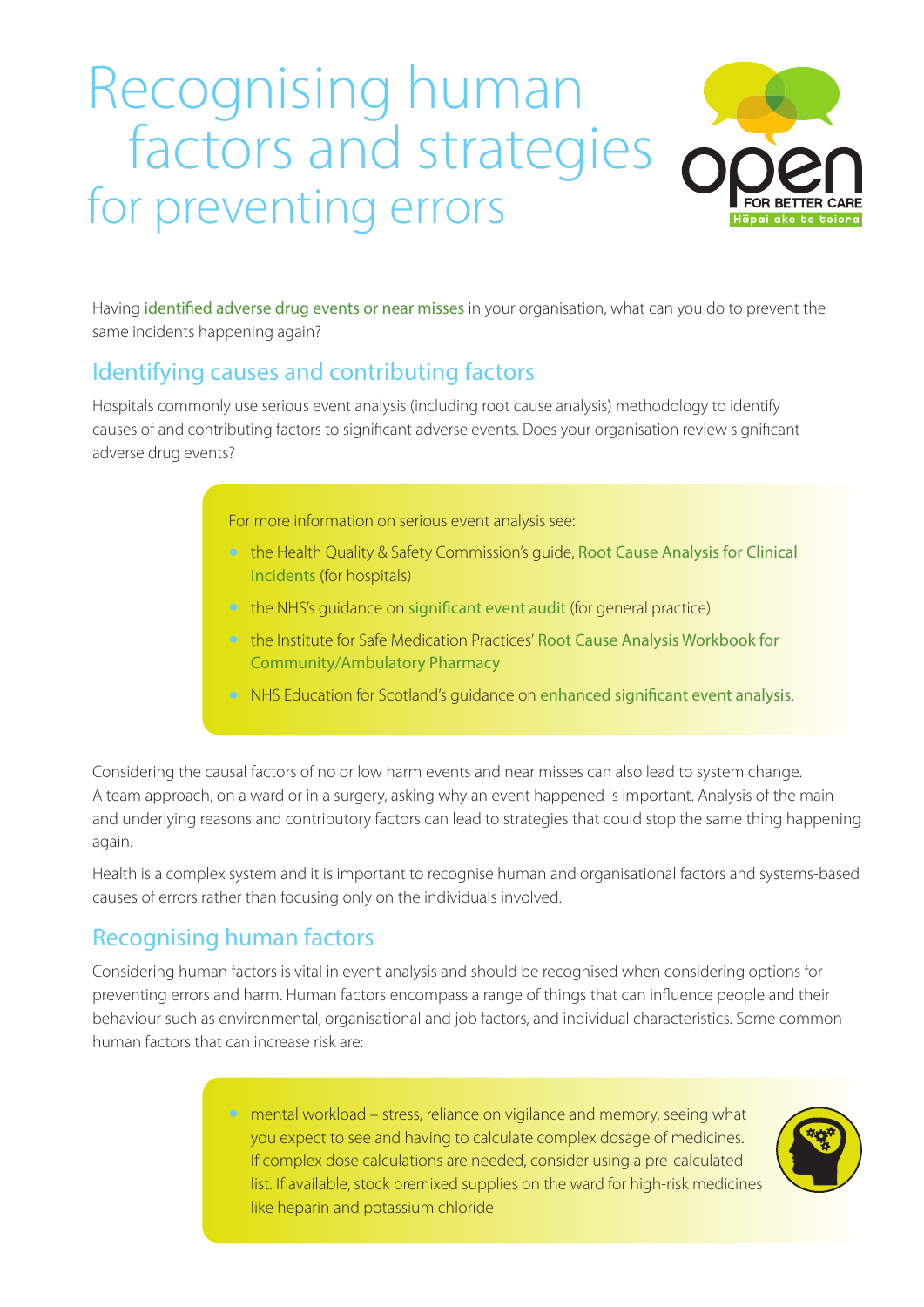# Recognising human factors and strategies for preventing errors



Having [identified adverse drug events or near misses](http://www.open.hqsc.govt.nz/medication/publications-and-resources/publication/1963/) in your organisation, what can you do to prevent the same incidents happening again?

#### Identifying causes and contributing factors

Hospitals commonly use serious event analysis (including root cause analysis) methodology to identify causes of and contributing factors to significant adverse events. Does your organisation review significant adverse drug events?

For more information on serious event analysis see:

- the Health Quality & Safety Commission's guide, [Root Cause Analysis for Clinical](http://www.hqsc.govt.nz/our-programmes/reportable-events/publications-and-resources/publication/478/)  [Incidents](http://www.hqsc.govt.nz/our-programmes/reportable-events/publications-and-resources/publication/478/) (for hospitals)
- the NHS's guidance on [significant event audit](http://www.nrls.npsa.nhs.uk/resources/?entryid45=61500) (for general practice)
- the Institute for Safe Medication Practices' [Root Cause Analysis Workbook for](http://www.ismp.org/tools/rca)  [Community/Ambulatory Pharmacy](http://www.ismp.org/tools/rca)
- NHS Education for Scotland's guidance on [enhanced significant event analysis](http://www.nes.scot.nhs.uk/education-and-training/by-theme-initiative/patient-safety-and-clinical-skills/enhanced-significant-event-analysis.aspx).

Considering the causal factors of no or low harm events and near misses can also lead to system change. A team approach, on a ward or in a surgery, asking why an event happened is important. Analysis of the main and underlying reasons and contributory factors can lead to strategies that could stop the same thing happening again.

Health is a complex system and it is important to recognise human and organisational factors and systems-based causes of errors rather than focusing only on the individuals involved.

### Recognising human factors

Considering human factors is vital in event analysis and should be recognised when considering options for preventing errors and harm. Human factors encompass a range of things that can influence people and their behaviour such as environmental, organisational and job factors, and individual characteristics. Some common human factors that can increase risk are:

> • mental workload – stress, reliance on vigilance and memory, seeing what you expect to see and having to calculate complex dosage of medicines. If complex dose calculations are needed, consider using a pre-calculated list. If available, stock premixed supplies on the ward for high-risk medicines like heparin and potassium chloride

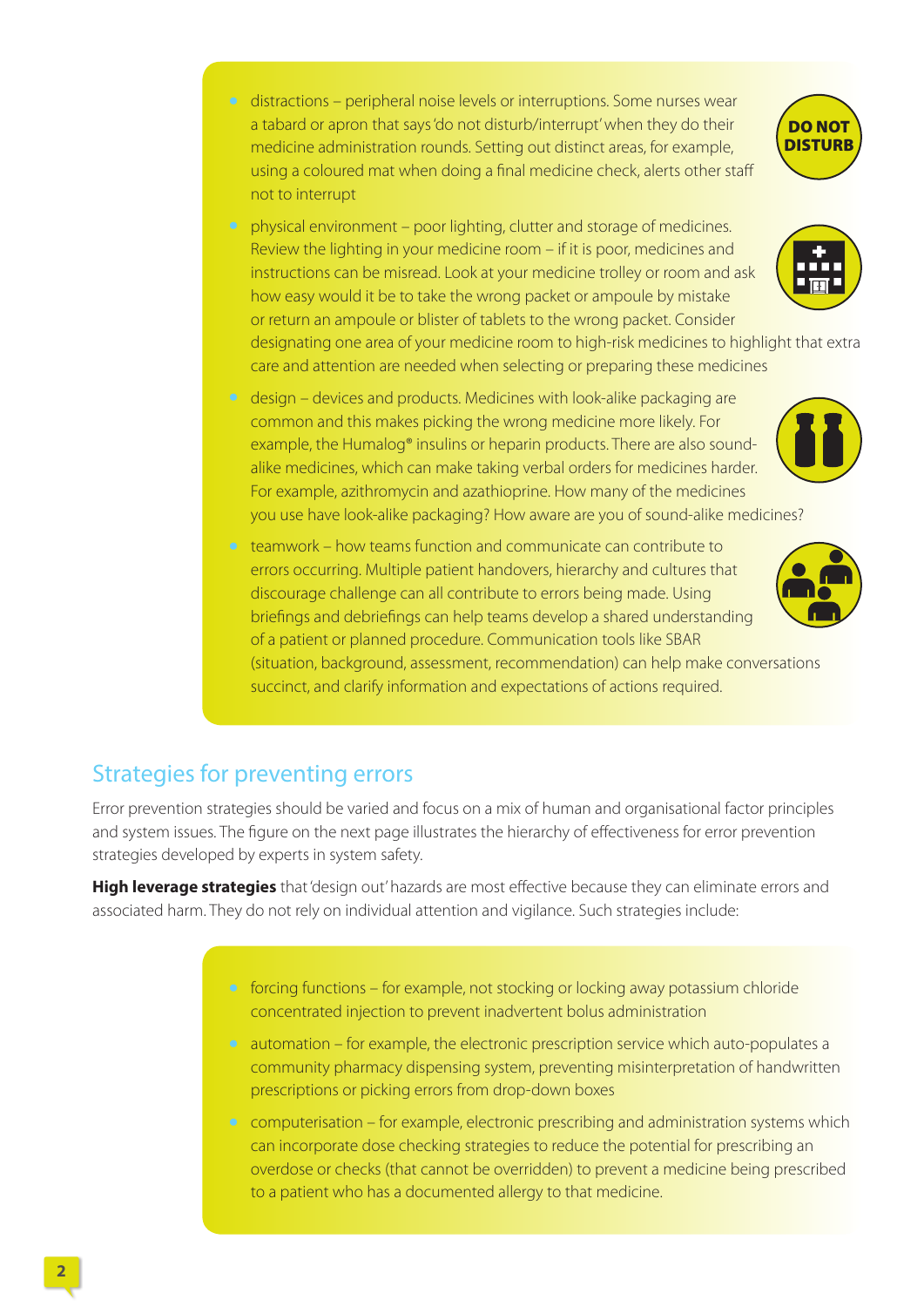- distractions peripheral noise levels or interruptions. Some nurses wear a tabard or apron that says 'do not disturb/interrupt' when they do their medicine administration rounds. Setting out distinct areas, for example, using a coloured mat when doing a final medicine check, alerts other staff not to interrupt
	- physical environment poor lighting, clutter and storage of medicines. Review the lighting in your medicine room – if it is poor, medicines and instructions can be misread. Look at your medicine trolley or room and ask how easy would it be to take the wrong packet or ampoule by mistake or return an ampoule or blister of tablets to the wrong packet. Consider designating one area of your medicine room to high-risk medicines to highlight that extra
	- care and attention are needed when selecting or preparing these medicines • design – devices and products. Medicines with look-alike packaging are common and this makes picking the wrong medicine more likely. For
- example, the Humalog<sup>®</sup> insulins or heparin products. There are also soundalike medicines, which can make taking verbal orders for medicines harder. For example, azithromycin and azathioprine. How many of the medicines you use have look-alike packaging? How aware are you of sound-alike medicines?
- teamwork how teams function and communicate can contribute to errors occurring. Multiple patient handovers, hierarchy and cultures that discourage challenge can all contribute to errors being made. Using briefings and debriefings can help teams develop a shared understanding of a patient or planned procedure. Communication tools like SBAR
	- (situation, background, assessment, recommendation) can help make conversations succinct, and clarify information and expectations of actions required.

## Strategies for preventing errors

Error prevention strategies should be varied and focus on a mix of human and organisational factor principles and system issues. The figure on the next page illustrates the hierarchy of effectiveness for error prevention strategies developed by experts in system safety.

**High leverage strategies** that 'design out' hazards are most effective because they can eliminate errors and associated harm. They do not rely on individual attention and vigilance. Such strategies include:

- forcing functions for example, not stocking or locking away potassium chloride concentrated injection to prevent inadvertent bolus administration
- automation for example, the electronic prescription service which auto-populates a community pharmacy dispensing system, preventing misinterpretation of handwritten prescriptions or picking errors from drop-down boxes
- computerisation for example, electronic prescribing and administration systems which can incorporate dose checking strategies to reduce the potential for prescribing an overdose or checks (that cannot be overridden) to prevent a medicine being prescribed to a patient who has a documented allergy to that medicine.





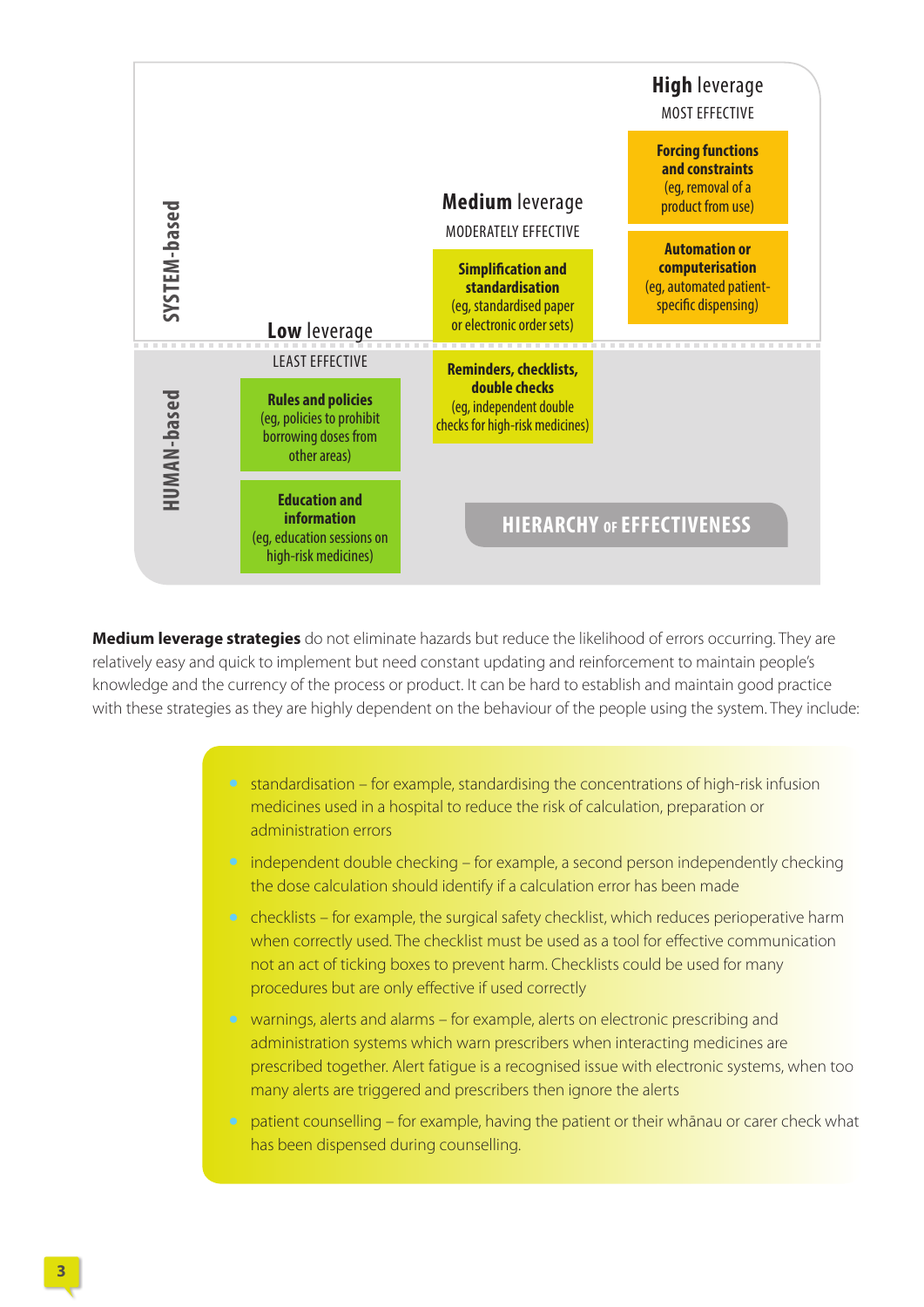

**Medium leverage strategies** do not eliminate hazards but reduce the likelihood of errors occurring. They are relatively easy and quick to implement but need constant updating and reinforcement to maintain people's knowledge and the currency of the process or product. It can be hard to establish and maintain good practice with these strategies as they are highly dependent on the behaviour of the people using the system. They include:

- standardisation for example, standardising the concentrations of high-risk infusion medicines used in a hospital to reduce the risk of calculation, preparation or administration errors
- independent double checking for example, a second person independently checking the dose calculation should identify if a calculation error has been made
- checklists for example, the surgical safety checklist, which reduces perioperative harm when correctly used. The checklist must be used as a tool for effective communication not an act of ticking boxes to prevent harm. Checklists could be used for many procedures but are only effective if used correctly
- warnings, alerts and alarms for example, alerts on electronic prescribing and administration systems which warn prescribers when interacting medicines are prescribed together. Alert fatigue is a recognised issue with electronic systems, when too many alerts are triggered and prescribers then ignore the alerts
- patient counselling for example, having the patient or their whānau or carer check what has been dispensed during counselling.